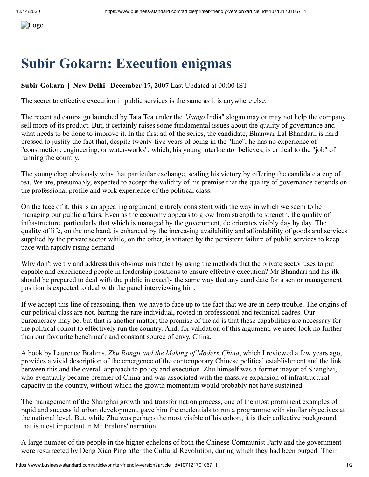## **Subir Gokarn: Execution enigmas**

## **Subir Gokarn | New Delhi December 17, 2007** Last Updated at 00:00 IST

The secret to effective execution in public services is the same as it is anywhere else.

The recent ad campaign launched by Tata Tea under the "*Jaago* India" slogan may or may not help the company sell more of its product. But, it certainly raises some fundamental issues about the quality of governance and what needs to be done to improve it. In the first ad of the series, the candidate, Bhanwar Lal Bhandari, is hard pressed to justify the fact that, despite twenty-five years of being in the "line", he has no experience of "construction, engineering, or water-works", which, his young interlocutor believes, is critical to the "job" of running the country.

The young chap obviously wins that particular exchange, sealing his victory by offering the candidate a cup of tea. We are, presumably, expected to accept the validity of his premise that the quality of governance depends on the professional profile and work experience of the political class.

On the face of it, this is an appealing argument, entirely consistent with the way in which we seem to be managing our public affairs. Even as the economy appears to grow from strength to strength, the quality of infrastructure, particularly that which is managed by the government, deteriorates visibly day by day. The quality of life, on the one hand, is enhanced by the increasing availability and affordability of goods and services supplied by the private sector while, on the other, is vitiated by the persistent failure of public services to keep pace with rapidly rising demand.

Why don't we try and address this obvious mismatch by using the methods that the private sector uses to put capable and experienced people in leadership positions to ensure effective execution? Mr Bhandari and his ilk should be prepared to deal with the public in exactly the same way that any candidate for a senior management position is expected to deal with the panel interviewing him.

If we accept this line of reasoning, then, we have to face up to the fact that we are in deep trouble. The origins of our political class are not, barring the rare individual, rooted in professional and technical cadres. Our bureaucracy may be, but that is another matter; the premise of the ad is that these capabilities are necessary for the political cohort to effectively run the country. And, for validation of this argument, we need look no further than our favourite benchmark and constant source of envy, China.

A book by Laurence Brahms, *Zhu Rongji and the Making of Modern China*, which I reviewed a few years ago, provides a vivid description of the emergence of the contemporary Chinese political establishment and the link between this and the overall approach to policy and execution. Zhu himself was a former mayor of Shanghai, who eventually became premier of China and was associated with the massive expansion of infrastructural capacity in the country, without which the growth momentum would probably not have sustained.

The management of the Shanghai growth and transformation process, one of the most prominent examples of rapid and successful urban development, gave him the credentials to run a programme with similar objectives at the national level. But, while Zhu was perhaps the most visible of his cohort, it is their collective background that is most important in Mr Brahms' narration.

A large number of the people in the higher echelons of both the Chinese Communist Party and the government were resurrected by Deng Xiao Ping after the Cultural Revolution, during which they had been purged. Their